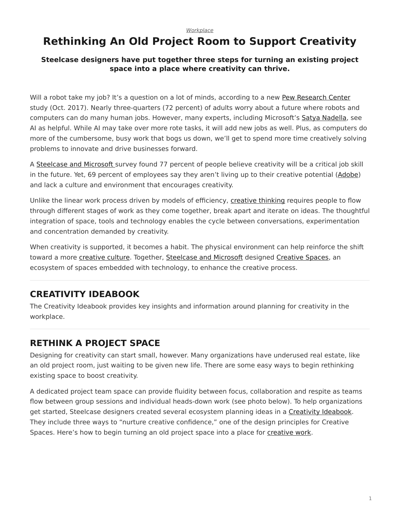# <span id="page-0-0"></span>**Rethinking An Old Project Room to Support Creativity**

### **Steelcase designers have put together three steps for turning an existing project space into a place where creativity can thrive.**

Will a robot take my job? It's a question on a lot of minds, according to a new [Pew Research Center](http://www.pewresearch.org/fact-tank/2017/10/04/6-key-findings-on-how-americans-see-the-rise-of-automation/) study (Oct. 2017). Nearly three-quarters (72 percent) of adults worry about a future where robots and computers can do many human jobs. However, many experts, including Microsoft's [Satya Nadella,](http://www.slate.com/articles/technology/future_tense/2016/06/microsoft_ceo_satya_nadella_humans_and_a_i_can_work_together_to_solve_society.html) see AI as helpful. While AI may take over more rote tasks, it will add new jobs as well. Plus, as computers do more of the cumbersome, busy work that bogs us down, we'll get to spend more time creatively solving problems to innovate and drive businesses forward.

A [Steelcase and Microsoft](https://www.steelcase.com/research/articles/topics/technology/trends-360/) survey found 77 percent of people believe creativity will be a critical job skill in the future. Yet, 69 percent of employees say they aren't living up to their creative potential [\(Adobe\)](https://www.steelcase.com/360-focus-creativity/) and lack a culture and environment that encourages creativity.

Unlike the linear work process driven by models of efficiency, [creative thinking](https://www.steelcase.com/research/articles/topics/technology/watch-unlocking-peoples-creative-potential-work/) requires people to flow through different stages of work as they come together, break apart and iterate on ideas. The thoughtful integration of space, tools and technology enables the cycle between conversations, experimentation and concentration demanded by creativity.

When creativity is supported, it becomes a habit. The physical environment can help reinforce the shift toward a more *creative culture*. Together, [Steelcase and Microsoft](https://www.steelcase.com/research/articles/topics/creativity/creative-shift/) designed [Creative Spaces](https://www.steelcase.com/microsoft-steelcase/creativity/), an ecosystem of spaces embedded with technology, to enhance the creative process.

## **CREATIVITY IDEABOOK**

The Creativity Ideabook provides key insights and information around planning for creativity in the workplace.

## **RETHINK A PROJECT SPACE**

Designing for creativity can start small, however. Many organizations have underused real estate, like an old project room, just waiting to be given new life. There are some easy ways to begin rethinking existing space to boost creativity.

A dedicated project team space can provide fluidity between focus, collaboration and respite as teams flow between group sessions and individual heads-down work (see photo below). To help organizations get started, Steelcase designers created several ecosystem planning ideas in a [Creativity Ideabook.](https://info.steelcase.com/creativity-ideabook) They include three ways to "nurture creative confidence," one of the design principles for Creative Spaces. Here's how to begin turning an old project space into a place for [creative work](https://www.steelcase.com/research/podcasts/topics/technology/listen-future-work-creative/).